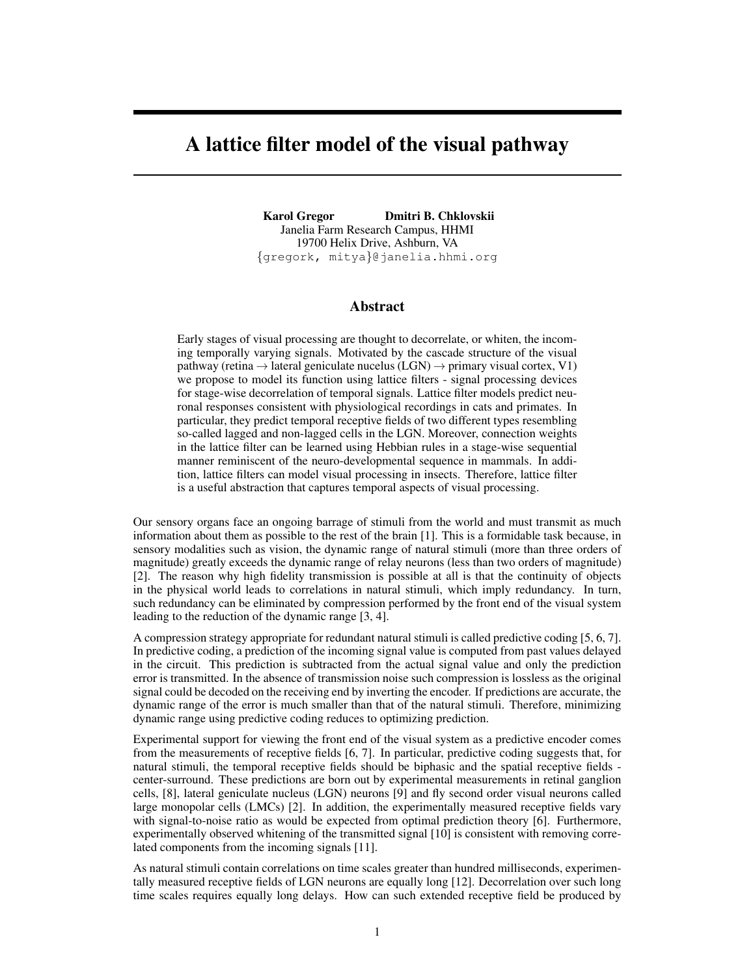# A lattice filter model of the visual pathway

Karol Gregor Dmitri B. Chklovskii Janelia Farm Research Campus, HHMI 19700 Helix Drive, Ashburn, VA {gregork, mitya}@janelia.hhmi.org

### Abstract

Early stages of visual processing are thought to decorrelate, or whiten, the incoming temporally varying signals. Motivated by the cascade structure of the visual pathway (retina  $\rightarrow$  lateral geniculate nucelus (LGN)  $\rightarrow$  primary visual cortex, V1) we propose to model its function using lattice filters - signal processing devices for stage-wise decorrelation of temporal signals. Lattice filter models predict neuronal responses consistent with physiological recordings in cats and primates. In particular, they predict temporal receptive fields of two different types resembling so-called lagged and non-lagged cells in the LGN. Moreover, connection weights in the lattice filter can be learned using Hebbian rules in a stage-wise sequential manner reminiscent of the neuro-developmental sequence in mammals. In addition, lattice filters can model visual processing in insects. Therefore, lattice filter is a useful abstraction that captures temporal aspects of visual processing.

Our sensory organs face an ongoing barrage of stimuli from the world and must transmit as much information about them as possible to the rest of the brain [1]. This is a formidable task because, in sensory modalities such as vision, the dynamic range of natural stimuli (more than three orders of magnitude) greatly exceeds the dynamic range of relay neurons (less than two orders of magnitude) [2]. The reason why high fidelity transmission is possible at all is that the continuity of objects in the physical world leads to correlations in natural stimuli, which imply redundancy. In turn, such redundancy can be eliminated by compression performed by the front end of the visual system leading to the reduction of the dynamic range [3, 4].

A compression strategy appropriate for redundant natural stimuli is called predictive coding [5, 6, 7]. In predictive coding, a prediction of the incoming signal value is computed from past values delayed in the circuit. This prediction is subtracted from the actual signal value and only the prediction error is transmitted. In the absence of transmission noise such compression is lossless as the original signal could be decoded on the receiving end by inverting the encoder. If predictions are accurate, the dynamic range of the error is much smaller than that of the natural stimuli. Therefore, minimizing dynamic range using predictive coding reduces to optimizing prediction.

Experimental support for viewing the front end of the visual system as a predictive encoder comes from the measurements of receptive fields [6, 7]. In particular, predictive coding suggests that, for natural stimuli, the temporal receptive fields should be biphasic and the spatial receptive fields center-surround. These predictions are born out by experimental measurements in retinal ganglion cells, [8], lateral geniculate nucleus (LGN) neurons [9] and fly second order visual neurons called large monopolar cells (LMCs) [2]. In addition, the experimentally measured receptive fields vary with signal-to-noise ratio as would be expected from optimal prediction theory [6]. Furthermore, experimentally observed whitening of the transmitted signal [10] is consistent with removing correlated components from the incoming signals [11].

As natural stimuli contain correlations on time scales greater than hundred milliseconds, experimentally measured receptive fields of LGN neurons are equally long [12]. Decorrelation over such long time scales requires equally long delays. How can such extended receptive field be produced by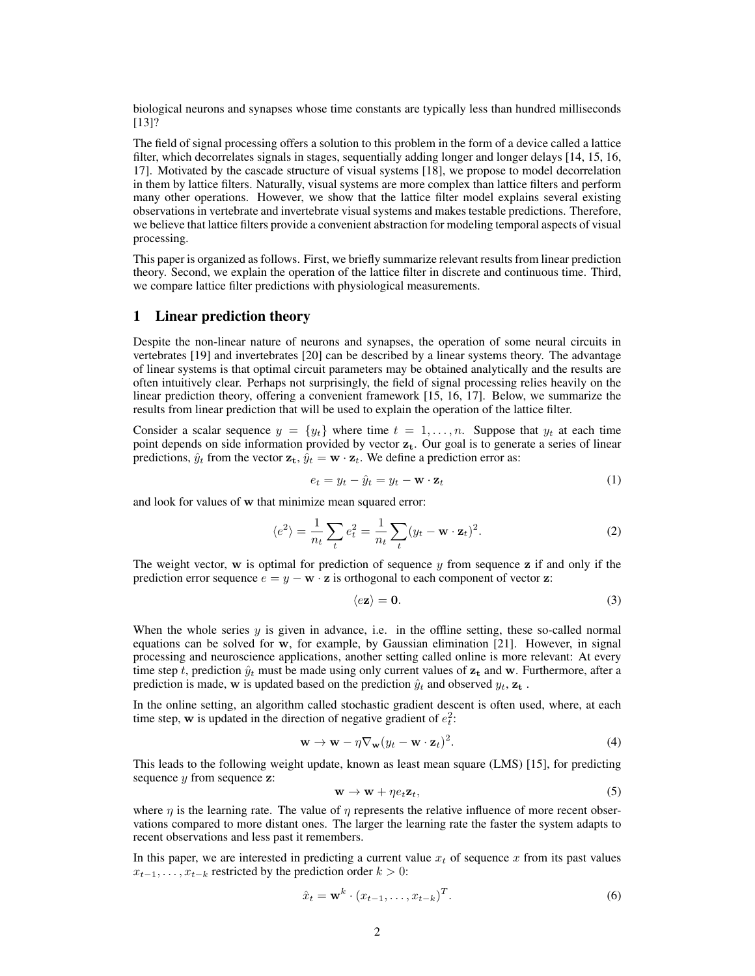biological neurons and synapses whose time constants are typically less than hundred milliseconds [13]?

The field of signal processing offers a solution to this problem in the form of a device called a lattice filter, which decorrelates signals in stages, sequentially adding longer and longer delays [14, 15, 16, 17]. Motivated by the cascade structure of visual systems [18], we propose to model decorrelation in them by lattice filters. Naturally, visual systems are more complex than lattice filters and perform many other operations. However, we show that the lattice filter model explains several existing observations in vertebrate and invertebrate visual systems and makes testable predictions. Therefore, we believe that lattice filters provide a convenient abstraction for modeling temporal aspects of visual processing.

This paper is organized as follows. First, we briefly summarize relevant results from linear prediction theory. Second, we explain the operation of the lattice filter in discrete and continuous time. Third, we compare lattice filter predictions with physiological measurements.

### 1 Linear prediction theory

Despite the non-linear nature of neurons and synapses, the operation of some neural circuits in vertebrates [19] and invertebrates [20] can be described by a linear systems theory. The advantage of linear systems is that optimal circuit parameters may be obtained analytically and the results are often intuitively clear. Perhaps not surprisingly, the field of signal processing relies heavily on the linear prediction theory, offering a convenient framework [15, 16, 17]. Below, we summarize the results from linear prediction that will be used to explain the operation of the lattice filter.

Consider a scalar sequence  $y = \{y_t\}$  where time  $t = 1, \ldots, n$ . Suppose that  $y_t$  at each time point depends on side information provided by vector  $z_t$ . Our goal is to generate a series of linear predictions,  $\hat{y}_t$  from the vector  $\mathbf{z}_t$ ,  $\hat{y}_t = \mathbf{w} \cdot \mathbf{z}_t$ . We define a prediction error as:

$$
e_t = y_t - \hat{y}_t = y_t - \mathbf{w} \cdot \mathbf{z}_t \tag{1}
$$

and look for values of w that minimize mean squared error:

$$
\langle e^2 \rangle = \frac{1}{n_t} \sum_t e_t^2 = \frac{1}{n_t} \sum_t (y_t - \mathbf{w} \cdot \mathbf{z}_t)^2.
$$
 (2)

The weight vector, w is optimal for prediction of sequence  $y$  from sequence  $z$  if and only if the prediction error sequence  $e = y - \mathbf{w} \cdot \mathbf{z}$  is orthogonal to each component of vector  $\mathbf{z}$ :

$$
\langle e\mathbf{z}\rangle = \mathbf{0}.\tag{3}
$$

When the whole series  $y$  is given in advance, i.e. in the offline setting, these so-called normal equations can be solved for w, for example, by Gaussian elimination [21]. However, in signal processing and neuroscience applications, another setting called online is more relevant: At every time step t, prediction  $\hat{y}_t$  must be made using only current values of  $z_t$  and w. Furthermore, after a prediction is made, w is updated based on the prediction  $\hat{y}_t$  and observed  $y_t$ ,  $z_t$ .

In the online setting, an algorithm called stochastic gradient descent is often used, where, at each time step, w is updated in the direction of negative gradient of  $e_t^2$ :

$$
\mathbf{w} \to \mathbf{w} - \eta \nabla_{\mathbf{w}} (y_t - \mathbf{w} \cdot \mathbf{z}_t)^2.
$$
 (4)

This leads to the following weight update, known as least mean square (LMS) [15], for predicting sequence  $y$  from sequence  $z$ :

$$
\mathbf{w} \to \mathbf{w} + \eta e_t \mathbf{z}_t,\tag{5}
$$

where  $\eta$  is the learning rate. The value of  $\eta$  represents the relative influence of more recent observations compared to more distant ones. The larger the learning rate the faster the system adapts to recent observations and less past it remembers.

In this paper, we are interested in predicting a current value  $x_t$  of sequence x from its past values  $x_{t-1}, \ldots, x_{t-k}$  restricted by the prediction order  $k > 0$ :

$$
\hat{x}_t = \mathbf{w}^k \cdot (x_{t-1}, \dots, x_{t-k})^T.
$$
\n
$$
(6)
$$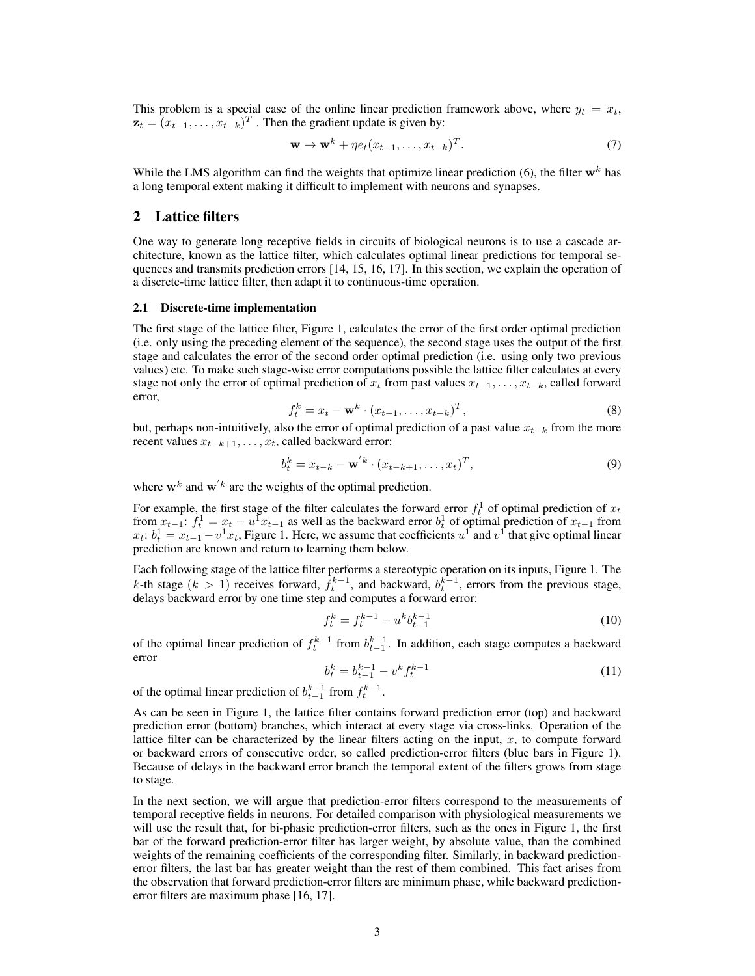This problem is a special case of the online linear prediction framework above, where  $y_t = x_t$ ,  $\mathbf{z}_t = (x_{t-1}, \dots, x_{t-k})^T$ . Then the gradient update is given by:

$$
\mathbf{w} \to \mathbf{w}^k + \eta e_t (x_{t-1}, \dots, x_{t-k})^T.
$$
 (7)

While the LMS algorithm can find the weights that optimize linear prediction (6), the filter  $w<sup>k</sup>$  has a long temporal extent making it difficult to implement with neurons and synapses.

# 2 Lattice filters

One way to generate long receptive fields in circuits of biological neurons is to use a cascade architecture, known as the lattice filter, which calculates optimal linear predictions for temporal sequences and transmits prediction errors [14, 15, 16, 17]. In this section, we explain the operation of a discrete-time lattice filter, then adapt it to continuous-time operation.

#### 2.1 Discrete-time implementation

The first stage of the lattice filter, Figure 1, calculates the error of the first order optimal prediction (i.e. only using the preceding element of the sequence), the second stage uses the output of the first stage and calculates the error of the second order optimal prediction (i.e. using only two previous values) etc. To make such stage-wise error computations possible the lattice filter calculates at every stage not only the error of optimal prediction of  $x_t$  from past values  $x_{t-1}, \ldots, x_{t-k}$ , called forward error,

$$
f_t^k = x_t - \mathbf{w}^k \cdot (x_{t-1}, \dots, x_{t-k})^T,
$$
\n(8)

but, perhaps non-intuitively, also the error of optimal prediction of a past value  $x_{t-k}$  from the more recent values  $x_{t-k+1}, \ldots, x_t$ , called backward error:

$$
b_t^k = x_{t-k} - \mathbf{w'}^k \cdot (x_{t-k+1}, \dots, x_t)^T,
$$
\n(9)

where  $\mathbf{w}^k$  and  $\mathbf{w}'^k$  are the weights of the optimal prediction.

For example, the first stage of the filter calculates the forward error  $f_t^1$  of optimal prediction of  $x_t$ from  $x_{t-1}$ :  $f_t^1 = x_t - u^1 x_{t-1}$  as well as the backward error  $b_t^1$  of optimal prediction of  $x_{t-1}$  from  $x_t$ :  $b_t^1 = x_{t-1} - v^1 x_t$ , Figure 1. Here, we assume that coefficients  $u^1$  and  $v^1$  that give optimal linear prediction are known and return to learning them below.

Each following stage of the lattice filter performs a stereotypic operation on its inputs, Figure 1. The k-th stage  $(k > 1)$  receives forward,  $f_t^{k-1}$ , and backward,  $b_t^{k-1}$ , errors from the previous stage, delays backward error by one time step and computes a forward error:

$$
f_t^k = f_t^{k-1} - u^k b_{t-1}^{k-1}
$$
\n(10)

of the optimal linear prediction of  $f_t^{k-1}$  from  $b_{t-1}^{k-1}$ . In addition, each stage computes a backward error

$$
b_t^k = b_{t-1}^{k-1} - v^k f_t^{k-1}
$$
\n(11)

of the optimal linear prediction of  $b_{t-1}^{k-1}$  from  $f_t^{k-1}$ .

As can be seen in Figure 1, the lattice filter contains forward prediction error (top) and backward prediction error (bottom) branches, which interact at every stage via cross-links. Operation of the lattice filter can be characterized by the linear filters acting on the input,  $x$ , to compute forward or backward errors of consecutive order, so called prediction-error filters (blue bars in Figure 1). Because of delays in the backward error branch the temporal extent of the filters grows from stage to stage.

In the next section, we will argue that prediction-error filters correspond to the measurements of temporal receptive fields in neurons. For detailed comparison with physiological measurements we will use the result that, for bi-phasic prediction-error filters, such as the ones in Figure 1, the first bar of the forward prediction-error filter has larger weight, by absolute value, than the combined weights of the remaining coefficients of the corresponding filter. Similarly, in backward predictionerror filters, the last bar has greater weight than the rest of them combined. This fact arises from the observation that forward prediction-error filters are minimum phase, while backward predictionerror filters are maximum phase [16, 17].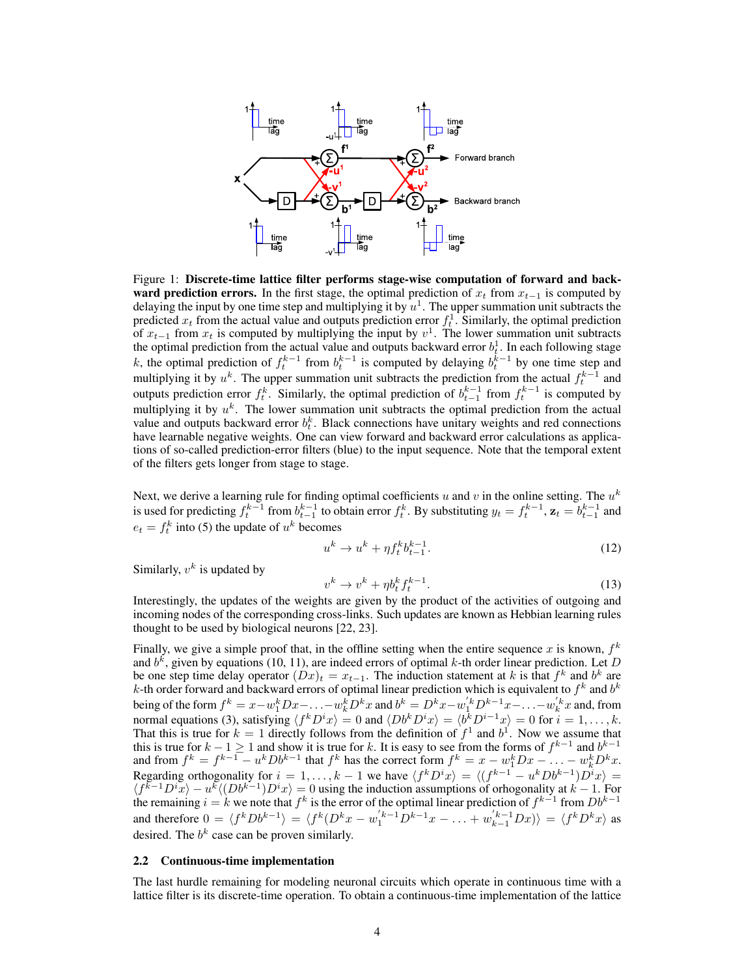

Figure 1: Discrete-time lattice filter performs stage-wise computation of forward and back**ward prediction errors.** In the first stage, the optimal prediction of  $x_t$  from  $x_{t-1}$  is computed by delaying the input by one time step and multiplying it by  $u^1$ . The upper summation unit subtracts the predicted  $x_t$  from the actual value and outputs prediction error  $f_t^1$ . Similarly, the optimal prediction of  $x_{t-1}$  from  $x_t$  is computed by multiplying the input by  $v^1$ . The lower summation unit subtracts the optimal prediction from the actual value and outputs backward error  $b_t^1$ . In each following stage k, the optimal prediction of  $f_t^{k-1}$  from  $b_t^{k-1}$  is computed by delaying  $b_t^{k-1}$  by one time step and multiplying it by  $u^k$ . The upper summation unit subtracts the prediction from the actual  $f_t^{k-1}$  and outputs prediction error  $f_t^k$ . Similarly, the optimal prediction of  $b_{t-1}^{k-1}$  from  $f_t^{k-1}$  is computed by multiplying it by  $u^k$ . The lower summation unit subtracts the optimal prediction from the actual value and outputs backward error  $b_t^k$ . Black connections have unitary weights and red connections have learnable negative weights. One can view forward and backward error calculations as applications of so-called prediction-error filters (blue) to the input sequence. Note that the temporal extent of the filters gets longer from stage to stage.

Next, we derive a learning rule for finding optimal coefficients u and v in the online setting. The  $u^k$ is used for predicting  $f_t^{k-1}$  from  $b_{t-1}^{k-1}$  to obtain error  $f_t^k$ . By substituting  $y_t = f_t^{k-1}$ ,  $\mathbf{z}_t = b_{t-1}^{k-1}$  and  $e_t = f_t^k$  into (5) the update of  $u^k$  becomes

$$
u^k \to u^k + \eta f_t^k b_{t-1}^{k-1}.\tag{12}
$$

Similarly,  $v^k$  is updated by

$$
v^k \to v^k + \eta b_t^k f_t^{k-1}.\tag{13}
$$

Interestingly, the updates of the weights are given by the product of the activities of outgoing and incoming nodes of the corresponding cross-links. Such updates are known as Hebbian learning rules thought to be used by biological neurons [22, 23].

Finally, we give a simple proof that, in the offline setting when the entire sequence x is known,  $f^k$ and  $b^k$ , given by equations (10, 11), are indeed errors of optimal k-th order linear prediction. Let D be one step time delay operator  $(Dx)_t = x_{t-1}$ . The induction statement at k is that  $f^k$  and  $b^k$  are k-th order forward and backward errors of optimal linear prediction which is equivalent to  $f^k$  and  $b^k$ being of the form  $f^k = x - w_1^k D x - \ldots - w_k^k D^k x$  and  $b^k = D^k x - w_1^{'k} D^{k-1} x - \ldots - w_k^{'k} x$  and, from normal equations (3), satisfying  $\langle f^k D^i x \rangle = 0$  and  $\langle Db^k D^i x \rangle = \langle b^k D^{i-1} x \rangle = 0$  for  $i = 1, ..., k$ . That this is true for  $k = 1$  directly follows from the definition of  $f^1$  and  $b^1$ . Now we assume that this is true for  $k - 1 \ge 1$  and show it is true for k. It is easy to see from the forms of  $f^{k-1}$  and  $b^{k-1}$ and from  $f^k = f^{k-1} - u^k D b^{k-1}$  that  $f^k$  has the correct form  $f^k = x - w_1^k D x - \ldots - w_k^k D^k x$ . Regarding orthogonality for  $i = 1, ..., k - 1$  we have  $\langle f^k D^i x \rangle = \langle (f^{k-1} - u^k Db^{k-1}) D^i x \rangle =$  $\langle f^{k-1}D^i\tilde{x}\rangle - u^k \langle (Db^{k-1})D^i x\rangle = 0$  using the induction assumptions of orhogonality at  $k-1$ . For the remaining  $i = k$  we note that  $f^k$  is the error of the optimal linear prediction of  $f^{k-1}$  from  $Db^{k-1}$ and therefore  $0 = \langle f^k Db^{k-1} \rangle = \langle f^k (D^k x - w_1^{'k-1} D^{k-1} x - \ldots + w_{k-1}^{'k-1} Dx) \rangle = \langle f^k D^k x \rangle$  as desired. The  $b^k$  case can be proven similarly.

#### 2.2 Continuous-time implementation

The last hurdle remaining for modeling neuronal circuits which operate in continuous time with a lattice filter is its discrete-time operation. To obtain a continuous-time implementation of the lattice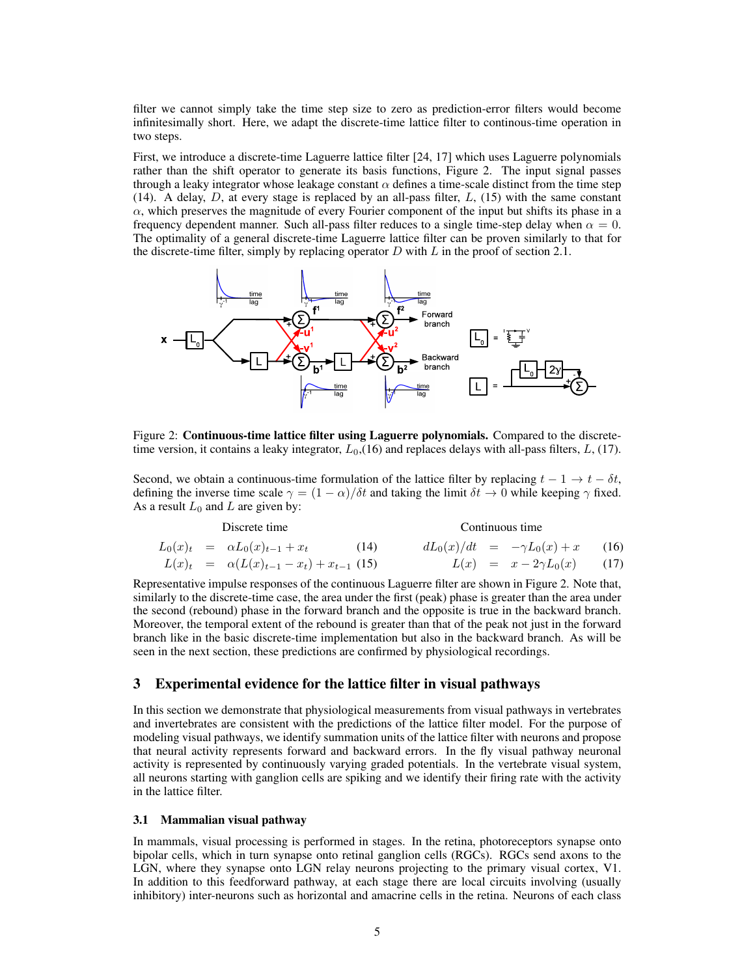filter we cannot simply take the time step size to zero as prediction-error filters would become infinitesimally short. Here, we adapt the discrete-time lattice filter to continous-time operation in two steps.

First, we introduce a discrete-time Laguerre lattice filter [24, 17] which uses Laguerre polynomials rather than the shift operator to generate its basis functions, Figure 2. The input signal passes through a leaky integrator whose leakage constant  $\alpha$  defines a time-scale distinct from the time step (14). A delay,  $D$ , at every stage is replaced by an all-pass filter,  $L$ , (15) with the same constant  $\alpha$ , which preserves the magnitude of every Fourier component of the input but shifts its phase in a frequency dependent manner. Such all-pass filter reduces to a single time-step delay when  $\alpha = 0$ . The optimality of a general discrete-time Laguerre lattice filter can be proven similarly to that for the discrete-time filter, simply by replacing operator  $D$  with  $L$  in the proof of section 2.1.



Figure 2: Continuous-time lattice filter using Laguerre polynomials. Compared to the discretetime version, it contains a leaky integrator,  $L_0$ , (16) and replaces delays with all-pass filters, L, (17).

Second, we obtain a continuous-time formulation of the lattice filter by replacing  $t - 1 \rightarrow t - \delta t$ , defining the inverse time scale  $\gamma = (1 - \alpha)/\delta t$  and taking the limit  $\delta t \to 0$  while keeping  $\gamma$  fixed. As a result  $L_0$  and  $L$  are given by:

| Discrete time |  |                                                     |      | Continuous time |  |                                        |  |
|---------------|--|-----------------------------------------------------|------|-----------------|--|----------------------------------------|--|
|               |  | $L_0(x)_t = \alpha L_0(x)_{t-1} + x_t$              | (14) |                 |  | $dL_0(x)/dt = -\gamma L_0(x) + x$ (16) |  |
|               |  | $L(x)_t = \alpha (L(x)_{t-1} - x_t) + x_{t-1}$ (15) |      |                 |  | $L(x) = x - 2\gamma L_0(x)$ (17)       |  |

Representative impulse responses of the continuous Laguerre filter are shown in Figure 2. Note that, similarly to the discrete-time case, the area under the first (peak) phase is greater than the area under the second (rebound) phase in the forward branch and the opposite is true in the backward branch. Moreover, the temporal extent of the rebound is greater than that of the peak not just in the forward branch like in the basic discrete-time implementation but also in the backward branch. As will be seen in the next section, these predictions are confirmed by physiological recordings.

# 3 Experimental evidence for the lattice filter in visual pathways

In this section we demonstrate that physiological measurements from visual pathways in vertebrates and invertebrates are consistent with the predictions of the lattice filter model. For the purpose of modeling visual pathways, we identify summation units of the lattice filter with neurons and propose that neural activity represents forward and backward errors. In the fly visual pathway neuronal activity is represented by continuously varying graded potentials. In the vertebrate visual system, all neurons starting with ganglion cells are spiking and we identify their firing rate with the activity in the lattice filter.

#### 3.1 Mammalian visual pathway

Discrete time

In mammals, visual processing is performed in stages. In the retina, photoreceptors synapse onto bipolar cells, which in turn synapse onto retinal ganglion cells (RGCs). RGCs send axons to the LGN, where they synapse onto LGN relay neurons projecting to the primary visual cortex, V1. In addition to this feedforward pathway, at each stage there are local circuits involving (usually inhibitory) inter-neurons such as horizontal and amacrine cells in the retina. Neurons of each class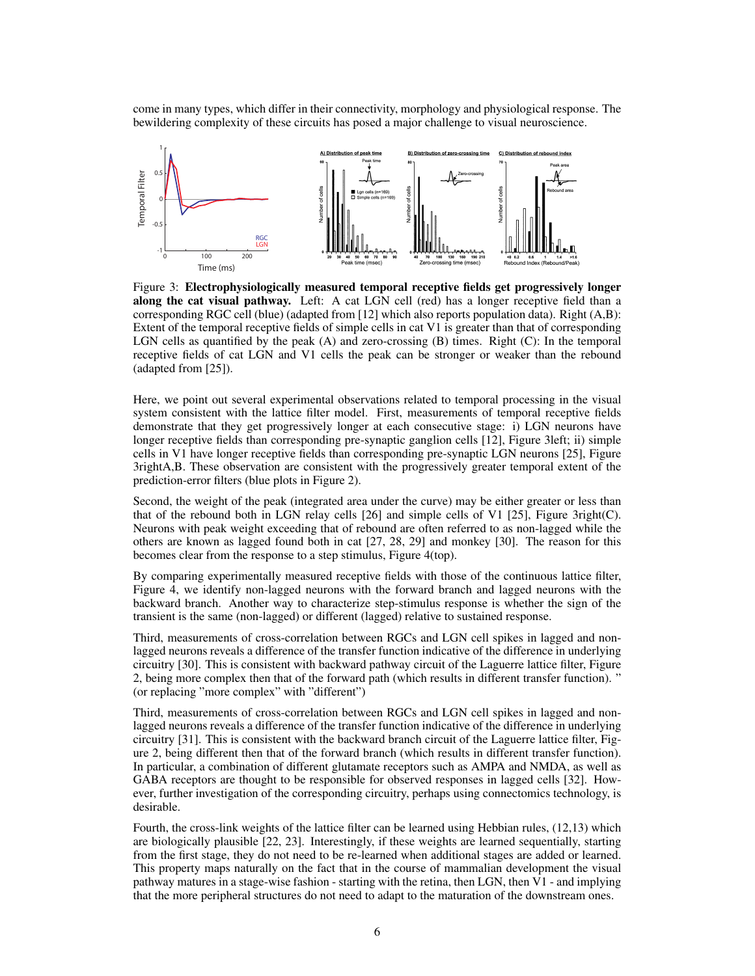come in many types, which differ in their connectivity, morphology and physiological response. The bewildering complexity of these circuits has posed a major challenge to visual neuroscience.



ted from [12] which also re Extent of the temporal receptive fields of simple cells in cat V1 is greater than that of corresponding LGN cells as quantified by the peak (A) and zero-crossing (B) times. Right (C): In the temporal Figure 2.1 is the visiting  $\left($ corresponding RGC cell (blue) (adapted from [12] which also reports population data). Right (A,B): receptive fields of cat LGN and V1 cells the peak can be stronger or weaker than the rebound Figure 3: Electrophysiologically measured temporal receptive fields get progressively longer along the cat visual pathway. Left: A cat LGN cell (red) has a longer receptive field than a (adapted from [25]).

ental observations related t system consistent with the lattice filter model. First, measurements of temporal receptive fields demonstrate that they get progressively longer at each consecutive stage: i) LGN neurons have onding pre-synaptic ganglic cells in V1 have longer receptive fields than corresponding pre-synaptic LGN neurons [25], Figure posistent with the progress prediction-error filters (blue plots in Figure 2). Here, we point out several experimental observations related to temporal processing in the visual longer receptive fields than corresponding pre-synaptic ganglion cells [12], Figure 3left; ii) simple 3rightA,B. These observation are consistent with the progressively greater temporal extent of the

Second, the weight of the peak (integrated area under the curve) may be either greater or less than that of the rebound both in LGN relay cells [26] and simple cells of V1 [25], Figure 3right(C). Neurons with peak weight exceeding that of rebound are often referred to as non-lagged while the others are known as lagged found both in cat [27, 28, 29] and monkey [30]. The reason for this becomes clear from the response to a step stimulus, Figure 4(top).

By comparing experimentally measured receptive fields with those of the continuous lattice filter, Figure 4, we identify non-lagged neurons with the forward branch and lagged neurons with the backward branch. Another way to characterize step-stimulus response is whether the sign of the transient is the same (non-lagged) or different (lagged) relative to sustained response.

Third, measurements of cross-correlation between RGCs and LGN cell spikes in lagged and nonlagged neurons reveals a difference of the transfer function indicative of the difference in underlying circuitry [30]. This is consistent with backward pathway circuit of the Laguerre lattice filter, Figure 2, being more complex then that of the forward path (which results in different transfer function). " (or replacing "more complex" with "different")

Third, measurements of cross-correlation between RGCs and LGN cell spikes in lagged and nonlagged neurons reveals a difference of the transfer function indicative of the difference in underlying circuitry [31]. This is consistent with the backward branch circuit of the Laguerre lattice filter, Figure 2, being different then that of the forward branch (which results in different transfer function). In particular, a combination of different glutamate receptors such as AMPA and NMDA, as well as GABA receptors are thought to be responsible for observed responses in lagged cells [32]. However, further investigation of the corresponding circuitry, perhaps using connectomics technology, is desirable.

Fourth, the cross-link weights of the lattice filter can be learned using Hebbian rules, (12,13) which are biologically plausible [22, 23]. Interestingly, if these weights are learned sequentially, starting from the first stage, they do not need to be re-learned when additional stages are added or learned. This property maps naturally on the fact that in the course of mammalian development the visual pathway matures in a stage-wise fashion - starting with the retina, then LGN, then  $\overline{VI}$  - and implying that the more peripheral structures do not need to adapt to the maturation of the downstream ones.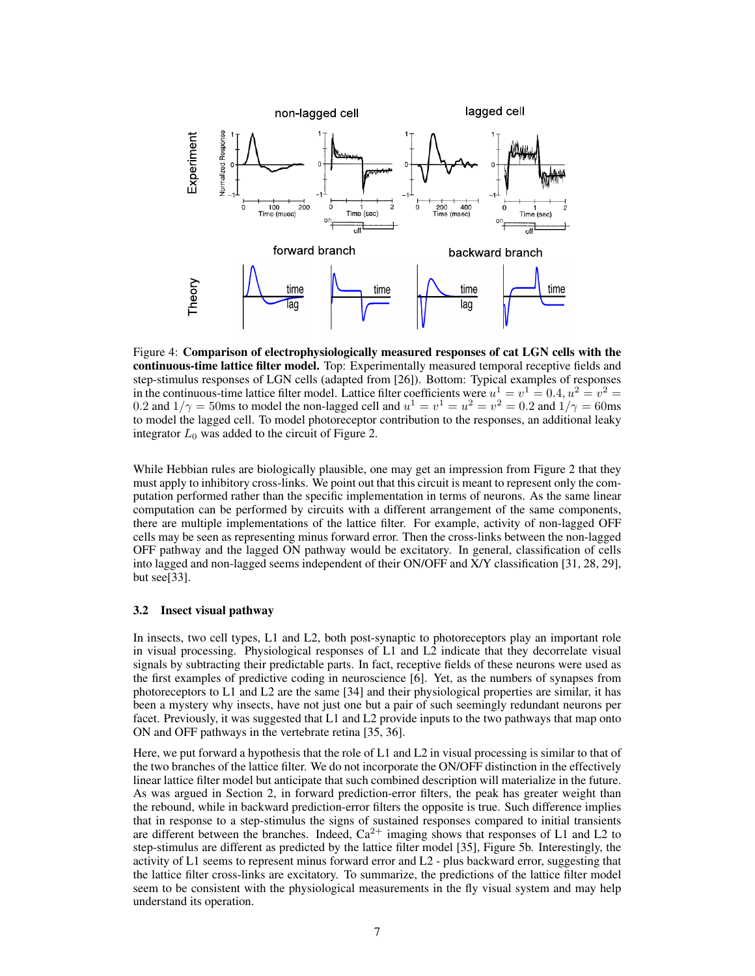

Figure 4: Comparison of electrophysiologically measured responses of cat LGN cells with the continuous-time lattice filter model. Top: Experimentally measured temporal receptive fields and step-stimulus responses of LGN cells (adapted from [26]). Bottom: Typical examples of responses in the continuous-time lattice filter model. Lattice filter coefficients were  $u^1 = v^1 = 0.4$ ,  $u^2 = v^2 =$ 0.2 and  $1/\gamma = 50$ ms to model the non-lagged cell and  $u^1 = v^1 = u^2 = v^2 = 0.2$  and  $1/\gamma = 60$ ms to model the lagged cell. To model photoreceptor contribution to the responses, an additional leaky integrator  $L_0$  was added to the circuit of Figure 2.

While Hebbian rules are biologically plausible, one may get an impression from Figure 2 that they must apply to inhibitory cross-links. We point out that this circuit is meant to represent only the computation performed rather than the specific implementation in terms of neurons. As the same linear computation can be performed by circuits with a different arrangement of the same components, there are multiple implementations of the lattice filter. For example, activity of non-lagged OFF cells may be seen as representing minus forward error. Then the cross-links between the non-lagged OFF pathway and the lagged ON pathway would be excitatory. In general, classification of cells into lagged and non-lagged seems independent of their ON/OFF and X/Y classification [31, 28, 29], but see[33].

### 3.2 Insect visual pathway

In insects, two cell types, L1 and L2, both post-synaptic to photoreceptors play an important role in visual processing. Physiological responses of L1 and L2 indicate that they decorrelate visual signals by subtracting their predictable parts. In fact, receptive fields of these neurons were used as the first examples of predictive coding in neuroscience [6]. Yet, as the numbers of synapses from photoreceptors to L1 and L2 are the same [34] and their physiological properties are similar, it has been a mystery why insects, have not just one but a pair of such seemingly redundant neurons per facet. Previously, it was suggested that L1 and L2 provide inputs to the two pathways that map onto ON and OFF pathways in the vertebrate retina [35, 36].

Here, we put forward a hypothesis that the role of L1 and L2 in visual processing is similar to that of the two branches of the lattice filter. We do not incorporate the ON/OFF distinction in the effectively linear lattice filter model but anticipate that such combined description will materialize in the future. As was argued in Section 2, in forward prediction-error filters, the peak has greater weight than the rebound, while in backward prediction-error filters the opposite is true. Such difference implies that in response to a step-stimulus the signs of sustained responses compared to initial transients are different between the branches. Indeed,  $Ca^{2+}$  imaging shows that responses of L1 and L2 to step-stimulus are different as predicted by the lattice filter model [35], Figure 5b. Interestingly, the activity of L1 seems to represent minus forward error and L2 - plus backward error, suggesting that the lattice filter cross-links are excitatory. To summarize, the predictions of the lattice filter model seem to be consistent with the physiological measurements in the fly visual system and may help understand its operation.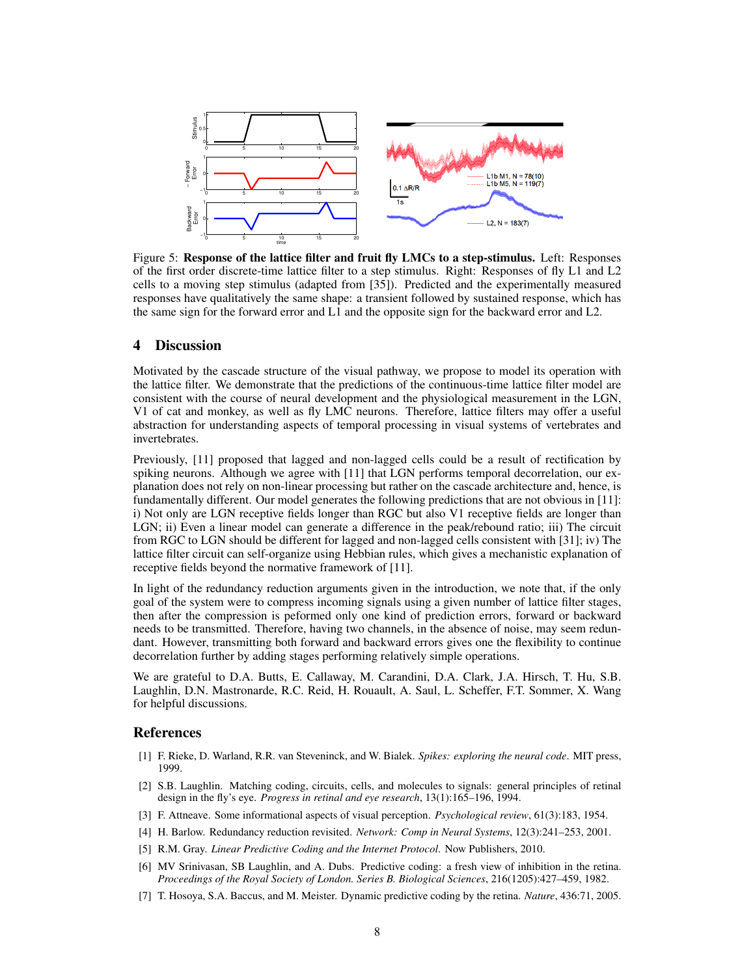

Figure 5: Response of the lattice filter and fruit fly LMCs to a step-stimulus. Left: Responses of the first order discrete-time lattice filter to a step stimulus. Right: Responses of fly L1 and L2 cells to a moving step stimulus (adapted from [35]). Predicted and the experimentally measured responses have qualitatively the same shape: a transient followed by sustained response, which has the same sign for the forward error and L1 and the opposite sign for the backward error and L2.

## 4 Discussion

Motivated by the cascade structure of the visual pathway, we propose to model its operation with the lattice filter. We demonstrate that the predictions of the continuous-time lattice filter model are consistent with the course of neural development and the physiological measurement in the LGN, V1 of cat and monkey, as well as fly LMC neurons. Therefore, lattice filters may offer a useful abstraction for understanding aspects of temporal processing in visual systems of vertebrates and invertebrates.

Previously, [11] proposed that lagged and non-lagged cells could be a result of rectification by spiking neurons. Although we agree with [11] that LGN performs temporal decorrelation, our explanation does not rely on non-linear processing but rather on the cascade architecture and, hence, is fundamentally different. Our model generates the following predictions that are not obvious in [11]: i) Not only are LGN receptive fields longer than RGC but also V1 receptive fields are longer than LGN; ii) Even a linear model can generate a difference in the peak/rebound ratio; iii) The circuit from RGC to LGN should be different for lagged and non-lagged cells consistent with [31]; iv) The lattice filter circuit can self-organize using Hebbian rules, which gives a mechanistic explanation of receptive fields beyond the normative framework of [11].

In light of the redundancy reduction arguments given in the introduction, we note that, if the only goal of the system were to compress incoming signals using a given number of lattice filter stages, then after the compression is peformed only one kind of prediction errors, forward or backward needs to be transmitted. Therefore, having two channels, in the absence of noise, may seem redundant. However, transmitting both forward and backward errors gives one the flexibility to continue decorrelation further by adding stages performing relatively simple operations.

We are grateful to D.A. Butts, E. Callaway, M. Carandini, D.A. Clark, J.A. Hirsch, T. Hu, S.B. Laughlin, D.N. Mastronarde, R.C. Reid, H. Rouault, A. Saul, L. Scheffer, F.T. Sommer, X. Wang for helpful discussions.

### References

- [1] F. Rieke, D. Warland, R.R. van Steveninck, and W. Bialek. *Spikes: exploring the neural code*. MIT press, 1999.
- [2] S.B. Laughlin. Matching coding, circuits, cells, and molecules to signals: general principles of retinal design in the fly's eye. *Progress in retinal and eye research*, 13(1):165–196, 1994.
- [3] F. Attneave. Some informational aspects of visual perception. *Psychological review*, 61(3):183, 1954.
- [4] H. Barlow. Redundancy reduction revisited. *Network: Comp in Neural Systems*, 12(3):241–253, 2001.
- [5] R.M. Gray. *Linear Predictive Coding and the Internet Protocol*. Now Publishers, 2010.
- [6] MV Srinivasan, SB Laughlin, and A. Dubs. Predictive coding: a fresh view of inhibition in the retina. *Proceedings of the Royal Society of London. Series B. Biological Sciences*, 216(1205):427–459, 1982.
- [7] T. Hosoya, S.A. Baccus, and M. Meister. Dynamic predictive coding by the retina. *Nature*, 436:71, 2005.